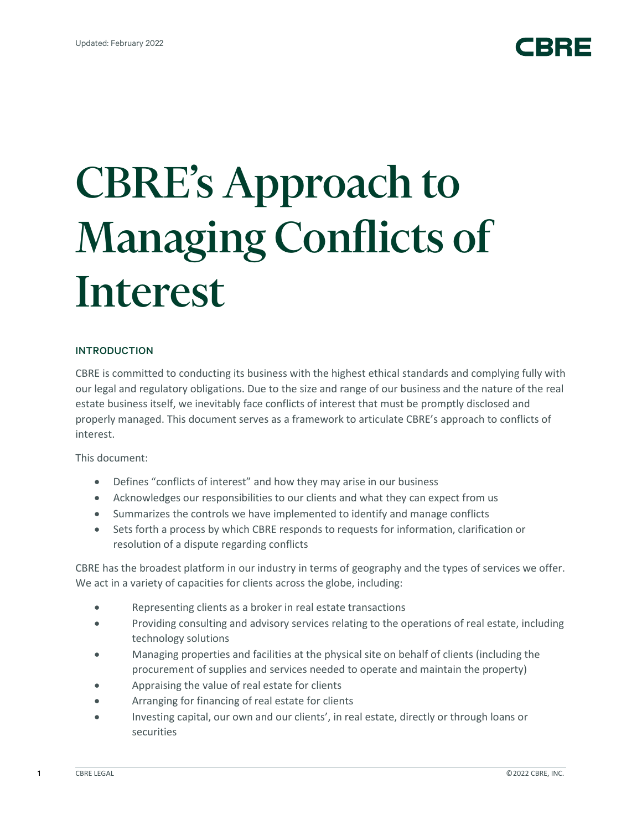# CBRE's Approach to Managing Conflicts of Interest

# INTRODUCTION

CBRE is committed to conducting its business with the highest ethical standards and complying fully with our legal and regulatory obligations. Due to the size and range of our business and the nature of the real estate business itself, we inevitably face conflicts of interest that must be promptly disclosed and properly managed. This document serves as a framework to articulate CBRE's approach to conflicts of interest.

This document:

- Defines "conflicts of interest" and how they may arise in our business
- Acknowledges our responsibilities to our clients and what they can expect from us
- Summarizes the controls we have implemented to identify and manage conflicts
- Sets forth a process by which CBRE responds to requests for information, clarification or resolution of a dispute regarding conflicts

CBRE has the broadest platform in our industry in terms of geography and the types of services we offer. We act in a variety of capacities for clients across the globe, including:

- Representing clients as a broker in real estate transactions
- Providing consulting and advisory services relating to the operations of real estate, including technology solutions
- Managing properties and facilities at the physical site on behalf of clients (including the procurement of supplies and services needed to operate and maintain the property)
- Appraising the value of real estate for clients
- Arranging for financing of real estate for clients
- Investing capital, our own and our clients', in real estate, directly or through loans or securities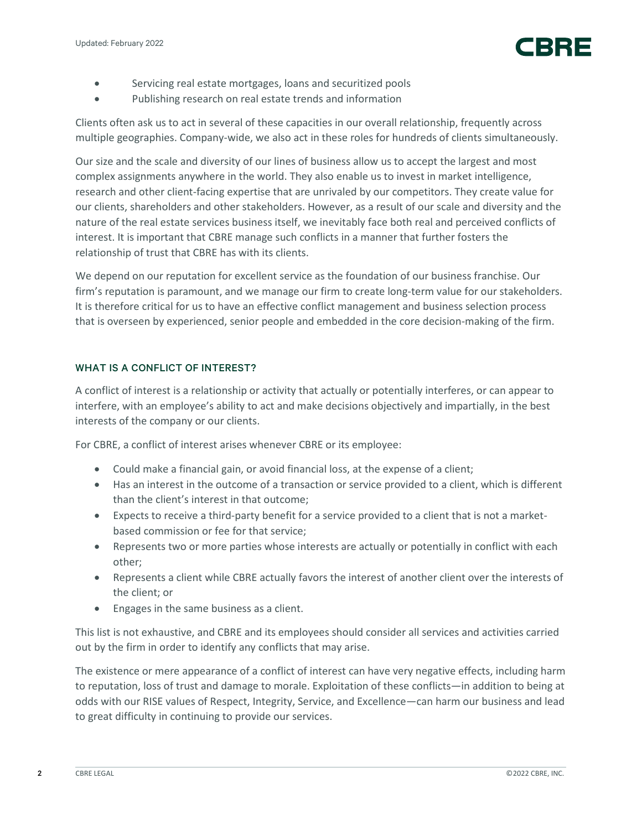

- Servicing real estate mortgages, loans and securitized pools
- Publishing research on real estate trends and information

Clients often ask us to act in several of these capacities in our overall relationship, frequently across multiple geographies. Company-wide, we also act in these roles for hundreds of clients simultaneously.

Our size and the scale and diversity of our lines of business allow us to accept the largest and most complex assignments anywhere in the world. They also enable us to invest in market intelligence, research and other client-facing expertise that are unrivaled by our competitors. They create value for our clients, shareholders and other stakeholders. However, as a result of our scale and diversity and the nature of the real estate services business itself, we inevitably face both real and perceived conflicts of interest. It is important that CBRE manage such conflicts in a manner that further fosters the relationship of trust that CBRE has with its clients.

We depend on our reputation for excellent service as the foundation of our business franchise. Our firm's reputation is paramount, and we manage our firm to create long-term value for our stakeholders. It is therefore critical for us to have an effective conflict management and business selection process that is overseen by experienced, senior people and embedded in the core decision-making of the firm.

# WHAT IS A CONFLICT OF INTEREST?

A conflict of interest is a relationship or activity that actually or potentially interferes, or can appear to interfere, with an employee's ability to act and make decisions objectively and impartially, in the best interests of the company or our clients.

For CBRE, a conflict of interest arises whenever CBRE or its employee:

- Could make a financial gain, or avoid financial loss, at the expense of a client;
- Has an interest in the outcome of a transaction or service provided to a client, which is different than the client's interest in that outcome;
- Expects to receive a third-party benefit for a service provided to a client that is not a marketbased commission or fee for that service;
- Represents two or more parties whose interests are actually or potentially in conflict with each other;
- Represents a client while CBRE actually favors the interest of another client over the interests of the client; or
- Engages in the same business as a client.

This list is not exhaustive, and CBRE and its employees should consider all services and activities carried out by the firm in order to identify any conflicts that may arise.

The existence or mere appearance of a conflict of interest can have very negative effects, including harm to reputation, loss of trust and damage to morale. Exploitation of these conflicts—in addition to being at odds with our RISE values of Respect, Integrity, Service, and Excellence—can harm our business and lead to great difficulty in continuing to provide our services.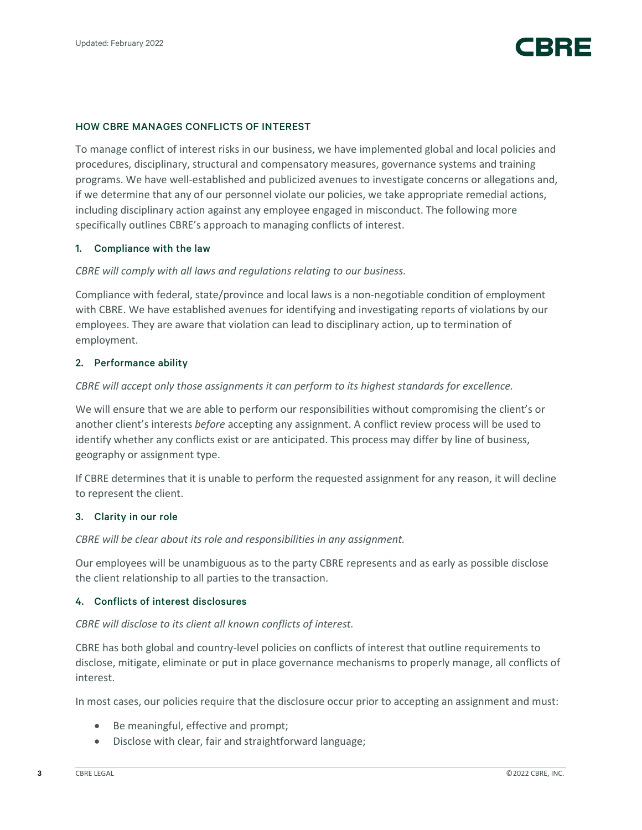

## HOW CBRE MANAGES CONFLICTS OF INTEREST

To manage conflict of interest risks in our business, we have implemented global and local policies and procedures, disciplinary, structural and compensatory measures, governance systems and training programs. We have well-established and publicized avenues to investigate concerns or allegations and, if we determine that any of our personnel violate our policies, we take appropriate remedial actions, including disciplinary action against any employee engaged in misconduct. The following more specifically outlines CBRE's approach to managing conflicts of interest.

#### 1. Compliance with the law

## *CBRE will comply with all laws and regulations relating to our business.*

Compliance with federal, state/province and local laws is a non-negotiable condition of employment with CBRE. We have established avenues for identifying and investigating reports of violations by our employees. They are aware that violation can lead to disciplinary action, up to termination of employment.

## 2. Performance ability

#### *CBRE will accept only those assignments it can perform to its highest standards for excellence.*

We will ensure that we are able to perform our responsibilities without compromising the client's or another client's interests *before* accepting any assignment. A conflict review process will be used to identify whether any conflicts exist or are anticipated. This process may differ by line of business, geography or assignment type.

If CBRE determines that it is unable to perform the requested assignment for any reason, it will decline to represent the client.

#### 3. Clarity in our role

*CBRE will be clear about its role and responsibilities in any assignment.*

Our employees will be unambiguous as to the party CBRE represents and as early as possible disclose the client relationship to all parties to the transaction.

#### 4. Conflicts of interest disclosures

#### *CBRE will disclose to its client all known conflicts of interest.*

CBRE has both global and country-level policies on conflicts of interest that outline requirements to disclose, mitigate, eliminate or put in place governance mechanisms to properly manage, all conflicts of interest.

In most cases, our policies require that the disclosure occur prior to accepting an assignment and must:

- Be meaningful, effective and prompt;
- Disclose with clear, fair and straightforward language;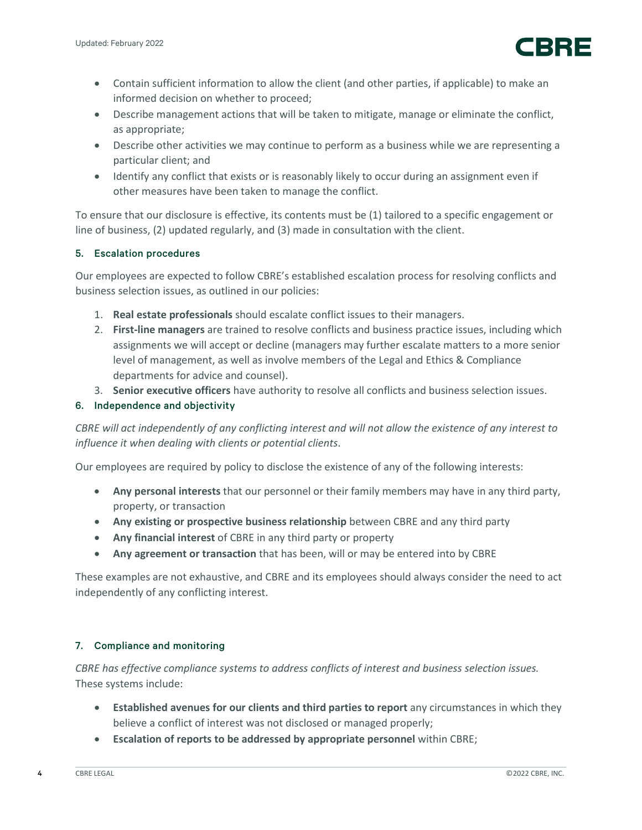

- Contain sufficient information to allow the client (and other parties, if applicable) to make an informed decision on whether to proceed;
- Describe management actions that will be taken to mitigate, manage or eliminate the conflict, as appropriate;
- Describe other activities we may continue to perform as a business while we are representing a particular client; and
- Identify any conflict that exists or is reasonably likely to occur during an assignment even if other measures have been taken to manage the conflict.

To ensure that our disclosure is effective, its contents must be (1) tailored to a specific engagement or line of business, (2) updated regularly, and (3) made in consultation with the client.

# 5. Escalation procedures

Our employees are expected to follow CBRE's established escalation process for resolving conflicts and business selection issues, as outlined in our policies:

- 1. **Real estate professionals** should escalate conflict issues to their managers.
- 2. **First-line managers** are trained to resolve conflicts and business practice issues, including which assignments we will accept or decline (managers may further escalate matters to a more senior level of management, as well as involve members of the Legal and Ethics & Compliance departments for advice and counsel).
- 3. **Senior executive officers** have authority to resolve all conflicts and business selection issues.

# 6. Independence and objectivity

*CBRE will act independently of any conflicting interest and will not allow the existence of any interest to influence it when dealing with clients or potential clients*.

Our employees are required by policy to disclose the existence of any of the following interests:

- **Any personal interests** that our personnel or their family members may have in any third party, property, or transaction
- **Any existing or prospective business relationship** between CBRE and any third party
- **Any financial interest** of CBRE in any third party or property
- **Any agreement or transaction** that has been, will or may be entered into by CBRE

These examples are not exhaustive, and CBRE and its employees should always consider the need to act independently of any conflicting interest.

# 7. Compliance and monitoring

*CBRE has effective compliance systems to address conflicts of interest and business selection issues.* These systems include:

- **Established avenues for our clients and third parties to report** any circumstances in which they believe a conflict of interest was not disclosed or managed properly;
- **Escalation of reports to be addressed by appropriate personnel** within CBRE;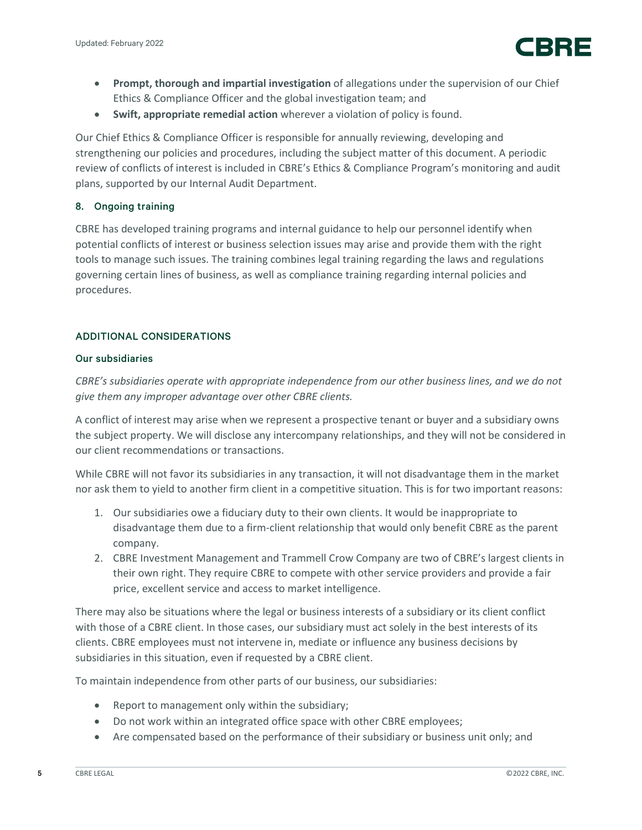

- **Prompt, thorough and impartial investigation** of allegations under the supervision of our Chief Ethics & Compliance Officer and the global investigation team; and
- **Swift, appropriate remedial action** wherever a violation of policy is found.

Our Chief Ethics & Compliance Officer is responsible for annually reviewing, developing and strengthening our policies and procedures, including the subject matter of this document. A periodic review of conflicts of interest is included in CBRE's Ethics & Compliance Program's monitoring and audit plans, supported by our Internal Audit Department.

# 8. Ongoing training

CBRE has developed training programs and internal guidance to help our personnel identify when potential conflicts of interest or business selection issues may arise and provide them with the right tools to manage such issues. The training combines legal training regarding the laws and regulations governing certain lines of business, as well as compliance training regarding internal policies and procedures.

# ADDITIONAL CONSIDERATIONS

## Our subsidiaries

*CBRE's subsidiaries operate with appropriate independence from our other business lines, and we do not give them any improper advantage over other CBRE clients.*

A conflict of interest may arise when we represent a prospective tenant or buyer and a subsidiary owns the subject property. We will disclose any intercompany relationships, and they will not be considered in our client recommendations or transactions.

While CBRE will not favor its subsidiaries in any transaction, it will not disadvantage them in the market nor ask them to yield to another firm client in a competitive situation. This is for two important reasons:

- 1. Our subsidiaries owe a fiduciary duty to their own clients. It would be inappropriate to disadvantage them due to a firm-client relationship that would only benefit CBRE as the parent company.
- 2. CBRE Investment Management and Trammell Crow Company are two of CBRE's largest clients in their own right. They require CBRE to compete with other service providers and provide a fair price, excellent service and access to market intelligence.

There may also be situations where the legal or business interests of a subsidiary or its client conflict with those of a CBRE client. In those cases, our subsidiary must act solely in the best interests of its clients. CBRE employees must not intervene in, mediate or influence any business decisions by subsidiaries in this situation, even if requested by a CBRE client.

To maintain independence from other parts of our business, our subsidiaries:

- Report to management only within the subsidiary;
- Do not work within an integrated office space with other CBRE employees;
- Are compensated based on the performance of their subsidiary or business unit only; and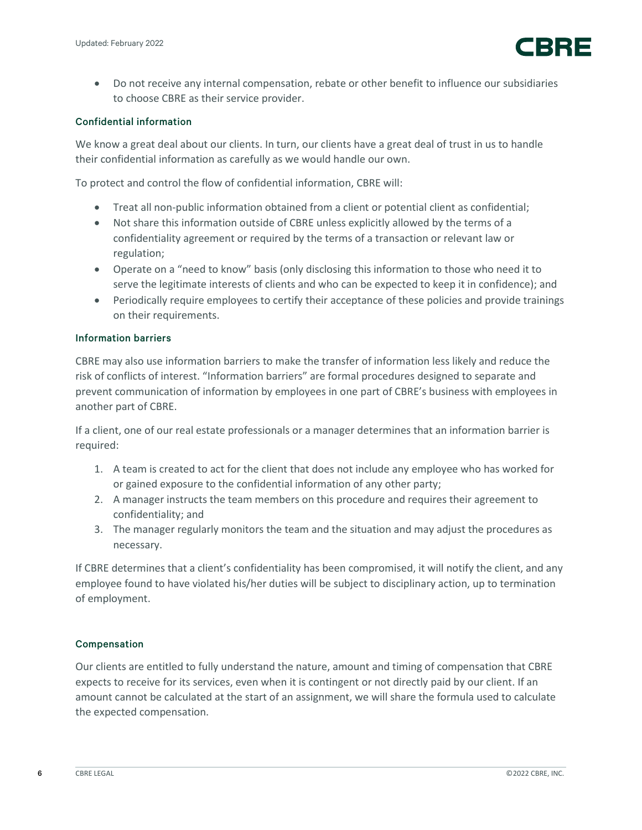

• Do not receive any internal compensation, rebate or other benefit to influence our subsidiaries to choose CBRE as their service provider.

# Confidential information

We know a great deal about our clients. In turn, our clients have a great deal of trust in us to handle their confidential information as carefully as we would handle our own.

To protect and control the flow of confidential information, CBRE will:

- Treat all non-public information obtained from a client or potential client as confidential;
- Not share this information outside of CBRE unless explicitly allowed by the terms of a confidentiality agreement or required by the terms of a transaction or relevant law or regulation;
- Operate on a "need to know" basis (only disclosing this information to those who need it to serve the legitimate interests of clients and who can be expected to keep it in confidence); and
- Periodically require employees to certify their acceptance of these policies and provide trainings on their requirements.

## Information barriers

CBRE may also use information barriers to make the transfer of information less likely and reduce the risk of conflicts of interest. "Information barriers" are formal procedures designed to separate and prevent communication of information by employees in one part of CBRE's business with employees in another part of CBRE.

If a client, one of our real estate professionals or a manager determines that an information barrier is required:

- 1. A team is created to act for the client that does not include any employee who has worked for or gained exposure to the confidential information of any other party;
- 2. A manager instructs the team members on this procedure and requires their agreement to confidentiality; and
- 3. The manager regularly monitors the team and the situation and may adjust the procedures as necessary.

If CBRE determines that a client's confidentiality has been compromised, it will notify the client, and any employee found to have violated his/her duties will be subject to disciplinary action, up to termination of employment.

## Compensation

Our clients are entitled to fully understand the nature, amount and timing of compensation that CBRE expects to receive for its services, even when it is contingent or not directly paid by our client. If an amount cannot be calculated at the start of an assignment, we will share the formula used to calculate the expected compensation.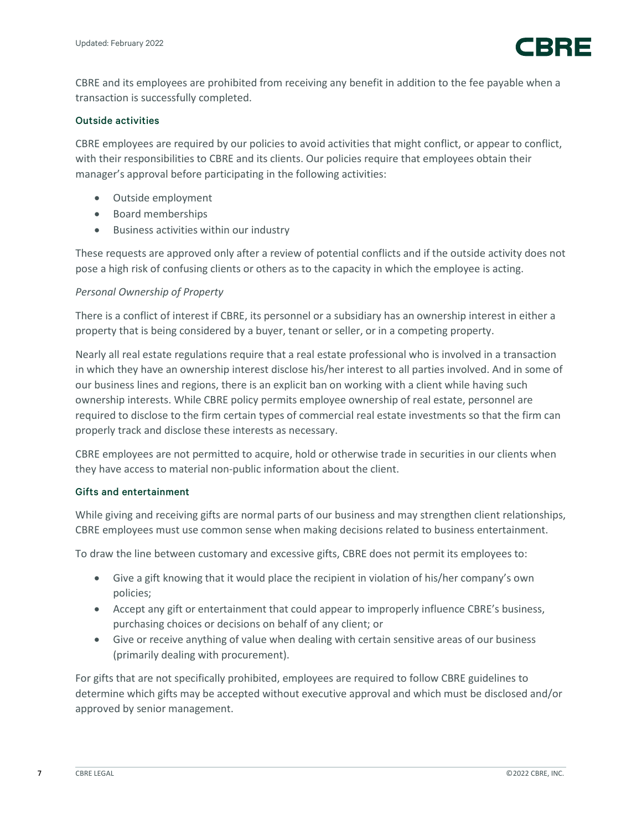

CBRE and its employees are prohibited from receiving any benefit in addition to the fee payable when a transaction is successfully completed.

# Outside activities

CBRE employees are required by our policies to avoid activities that might conflict, or appear to conflict, with their responsibilities to CBRE and its clients. Our policies require that employees obtain their manager's approval before participating in the following activities:

- Outside employment
- Board memberships
- Business activities within our industry

These requests are approved only after a review of potential conflicts and if the outside activity does not pose a high risk of confusing clients or others as to the capacity in which the employee is acting.

# *Personal Ownership of Property*

There is a conflict of interest if CBRE, its personnel or a subsidiary has an ownership interest in either a property that is being considered by a buyer, tenant or seller, or in a competing property.

Nearly all real estate regulations require that a real estate professional who is involved in a transaction in which they have an ownership interest disclose his/her interest to all parties involved. And in some of our business lines and regions, there is an explicit ban on working with a client while having such ownership interests. While CBRE policy permits employee ownership of real estate, personnel are required to disclose to the firm certain types of commercial real estate investments so that the firm can properly track and disclose these interests as necessary.

CBRE employees are not permitted to acquire, hold or otherwise trade in securities in our clients when they have access to material non-public information about the client.

## Gifts and entertainment

While giving and receiving gifts are normal parts of our business and may strengthen client relationships, CBRE employees must use common sense when making decisions related to business entertainment.

To draw the line between customary and excessive gifts, CBRE does not permit its employees to:

- Give a gift knowing that it would place the recipient in violation of his/her company's own policies;
- Accept any gift or entertainment that could appear to improperly influence CBRE's business, purchasing choices or decisions on behalf of any client; or
- Give or receive anything of value when dealing with certain sensitive areas of our business (primarily dealing with procurement).

For gifts that are not specifically prohibited, employees are required to follow CBRE guidelines to determine which gifts may be accepted without executive approval and which must be disclosed and/or approved by senior management.